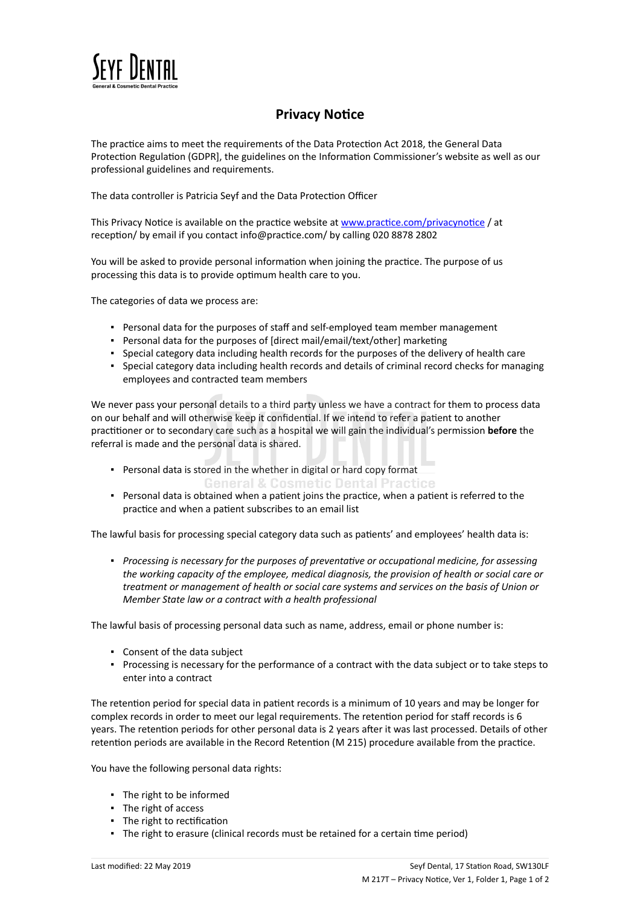

## **Privacy Notice**

The practice aims to meet the requirements of the Data Protection Act 2018, the General Data Protection Regulation (GDPR], the guidelines on the Information Commissioner's website as well as our professional guidelines and requirements.

The data controller is Patricia Seyf and the Data Protection Officer

This Privacy Notice is available on the practice website at [www.practice.com/privacynotice](https://dental.icomply.org/api/export/render/45bf190d-c812-484f-9e1d-30ba731d33b6/www.practice.com/privacynotice) / at reception/ by email if you contact info@practice.com/ by calling 020 8878 2802

You will be asked to provide personal information when joining the practice. The purpose of us processing this data is to provide optimum health care to you.

The categories of data we process are:

- Personal data for the purposes of staff and self-employed team member management
- Personal data for the purposes of [direct mail/email/text/other] marketing
- Special category data including health records for the purposes of the delivery of health care
- Special category data including health records and details of criminal record checks for managing employees and contracted team members

We never pass your personal details to a third party unless we have a contract for them to process data on our behalf and will otherwise keep it confidential. If we intend to refer a patient to another practitioner or to secondary care such as a hospital we will gain the individual's permission **before** the referral is made and the personal data is shared.

- Personal data is stored in the whether in digital or hard copy format **General & Cosmetic Dental Practice**
- Personal data is obtained when a patient joins the practice, when a patient is referred to the practice and when a patient subscribes to an email list

The lawful basis for processing special category data such as patients' and employees' health data is:

▪ *Processing is necessary for the purposes of preventative or occupational medicine, for assessing the working capacity of the employee, medical diagnosis, the provision of health or social care or treatment or management of health or social care systems and services on the basis of Union or Member State law or a contract with a health professional*

The lawful basis of processing personal data such as name, address, email or phone number is:

- Consent of the data subject
- Processing is necessary for the performance of a contract with the data subject or to take steps to enter into a contract

The retention period for special data in patient records is a minimum of 10 years and may be longer for complex records in order to meet our legal requirements. The retention period for staff records is 6 years. The retention periods for other personal data is 2 years after it was last processed. Details of other retention periods are available in the Record Retention (M 215) procedure available from the practice.

You have the following personal data rights:

- The right to be informed
- The right of access
- The right to rectification
- The right to erasure (clinical records must be retained for a certain time period)